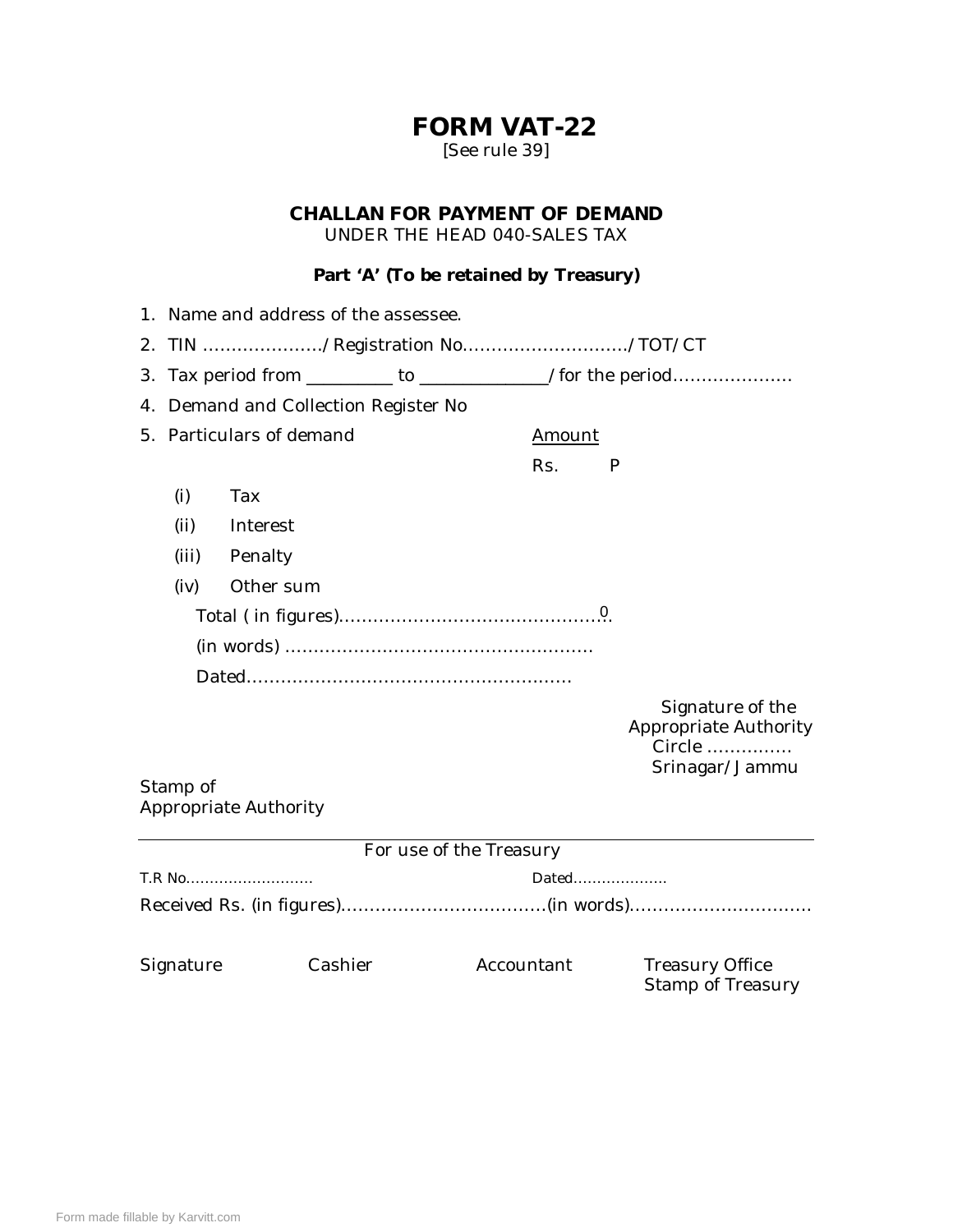## **FORM VAT-22** [See rule 39]

### **CHALLAN FOR PAYMENT OF DEMAND** UNDER THE HEAD 040-SALES TAX

#### **Part 'A' (To be retained by Treasury)**

|    | 1. Name and address of the assessee.                          |                       |  |                         |                                                                       |  |  |  |
|----|---------------------------------------------------------------|-----------------------|--|-------------------------|-----------------------------------------------------------------------|--|--|--|
|    | 2. TIN /Registration No/TOT/CT                                |                       |  |                         |                                                                       |  |  |  |
| 3. |                                                               |                       |  |                         |                                                                       |  |  |  |
|    | Tax period from _________ to _________________/for the period |                       |  |                         |                                                                       |  |  |  |
| 4. | Demand and Collection Register No                             |                       |  |                         |                                                                       |  |  |  |
|    | 5. Particulars of demand                                      |                       |  | Amount                  |                                                                       |  |  |  |
|    |                                                               |                       |  | Rs.                     | P                                                                     |  |  |  |
|    | (i)                                                           | Tax                   |  |                         |                                                                       |  |  |  |
|    | (ii)                                                          | Interest              |  |                         |                                                                       |  |  |  |
|    | (iii)                                                         | Penalty               |  |                         |                                                                       |  |  |  |
|    | (iv)                                                          | Other sum             |  |                         |                                                                       |  |  |  |
|    |                                                               |                       |  |                         |                                                                       |  |  |  |
|    |                                                               |                       |  |                         |                                                                       |  |  |  |
|    |                                                               |                       |  |                         |                                                                       |  |  |  |
|    |                                                               |                       |  |                         | Signature of the<br>Appropriate Authority<br>Circle<br>Srinagar/Jammu |  |  |  |
|    | Stamp of                                                      |                       |  |                         |                                                                       |  |  |  |
|    |                                                               | Appropriate Authority |  |                         |                                                                       |  |  |  |
|    |                                                               |                       |  | For use of the Treasury |                                                                       |  |  |  |
|    |                                                               |                       |  |                         |                                                                       |  |  |  |
|    | T.R No<br>Dated                                               |                       |  |                         |                                                                       |  |  |  |
|    |                                                               |                       |  |                         |                                                                       |  |  |  |
|    | Signature                                                     | Cashier               |  | Accountant              | <b>Treasury Office</b><br>Stamp of Treasury                           |  |  |  |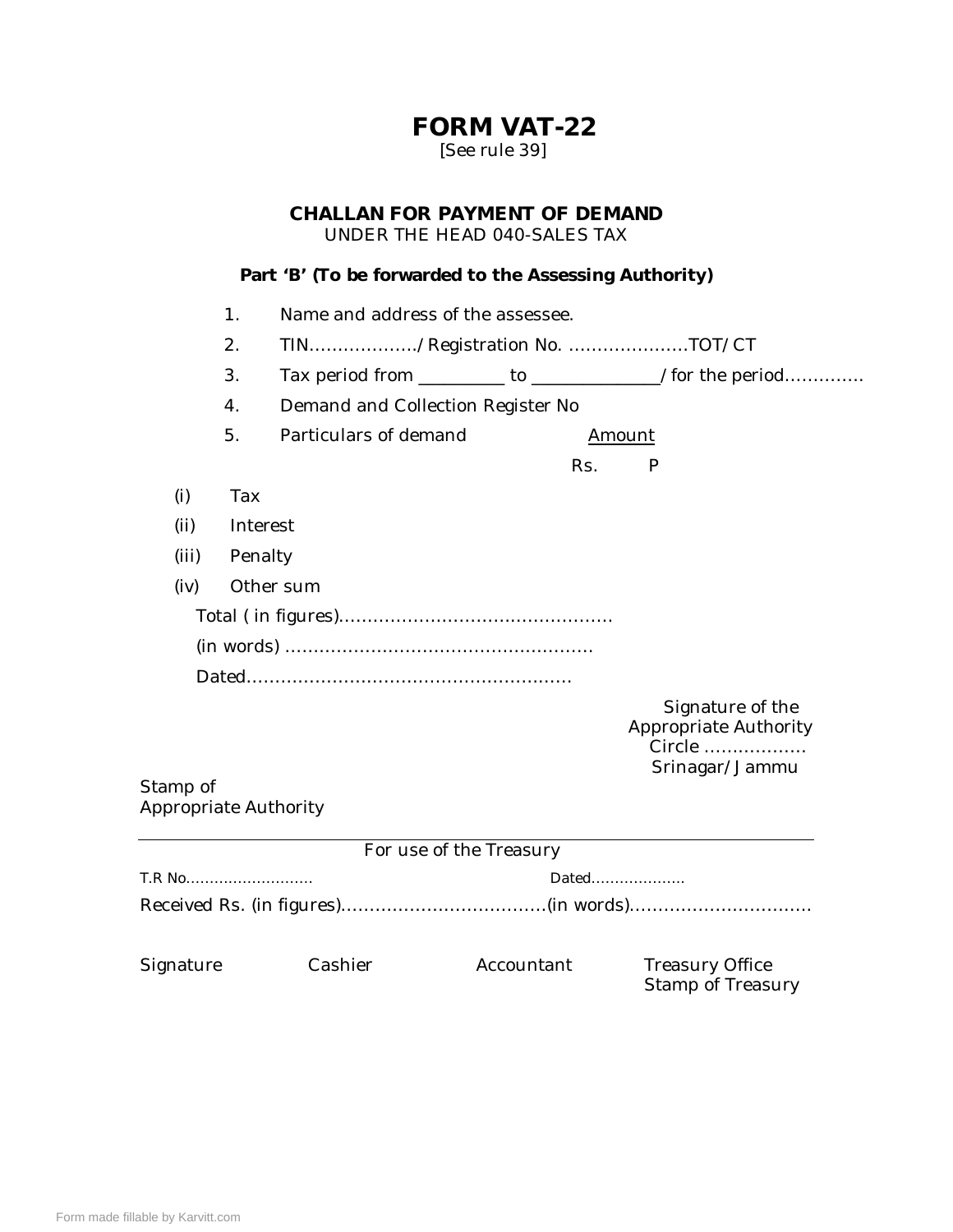## **FORM VAT-22** [See rule 39]

### **CHALLAN FOR PAYMENT OF DEMAND** UNDER THE HEAD 040-SALES TAX

**Part 'B' (To be forwarded to the Assessing Authority)**

|                                   |          | Part 'B' (To be forwarded to the Assessing Authority) |            |                                                                |  |  |  |  |
|-----------------------------------|----------|-------------------------------------------------------|------------|----------------------------------------------------------------|--|--|--|--|
|                                   | 1.       | Name and address of the assessee.                     |            |                                                                |  |  |  |  |
| 2.<br>TIN/Registration No. TOT/CT |          |                                                       |            |                                                                |  |  |  |  |
|                                   | 3.       |                                                       |            | Tax period from __________ to _________________/for the period |  |  |  |  |
|                                   | 4.       | Demand and Collection Register No                     |            |                                                                |  |  |  |  |
|                                   | 5.       | Particulars of demand                                 |            | Amount                                                         |  |  |  |  |
|                                   |          |                                                       | Rs.        | P                                                              |  |  |  |  |
| (i)                               | Tax      |                                                       |            |                                                                |  |  |  |  |
| (ii)                              | Interest |                                                       |            |                                                                |  |  |  |  |
| (iii)                             |          |                                                       |            |                                                                |  |  |  |  |
| (iv)                              |          | Other sum                                             |            |                                                                |  |  |  |  |
|                                   |          |                                                       |            |                                                                |  |  |  |  |
|                                   |          |                                                       |            |                                                                |  |  |  |  |
|                                   |          |                                                       |            |                                                                |  |  |  |  |
|                                   |          |                                                       |            | Signature of the<br>Appropriate Authority<br>Circle            |  |  |  |  |
| Stamp of<br>Appropriate Authority |          |                                                       |            | Srinagar/Jammu                                                 |  |  |  |  |
|                                   |          | For use of the Treasury                               |            |                                                                |  |  |  |  |
| T.R No                            |          |                                                       | Dated      |                                                                |  |  |  |  |
|                                   |          |                                                       |            |                                                                |  |  |  |  |
| Signature                         |          | Cashier                                               | Accountant | <b>Treasury Office</b>                                         |  |  |  |  |

Stamp of Treasury